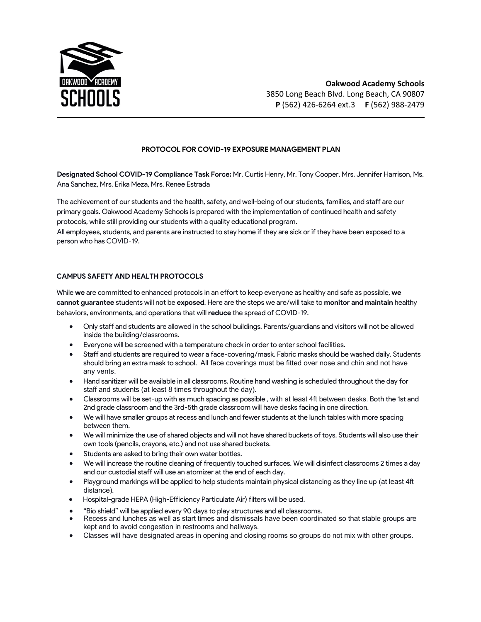

## **PROTOCOL FOR COVID-19 EXPOSURE MANAGEMENT PLAN**

**Designated School COVID-19 Compliance Task Force:** Mr. Curtis Henry, Mr. Tony Cooper, Mrs. Jennifer Harrison, Ms. Ana Sanchez, Mrs. Erika Meza, Mrs. Renee Estrada

The achievement of our students and the health, safety, and well-being of our students, families, and staff are our primary goals. Oakwood Academy Schools is prepared with the implementation of continued health and safety protocols, while still providing our students with a quality educational program.

All employees, students, and parents are instructed to stay home if they are sick or if they have been exposed to a person who has COVID-19.

### **CAMPUS SAFETY AND HEALTH PROTOCOLS**

While **we** are committed to enhanced protocols in an effort to keep everyone as healthy and safe as possible, **we cannot guarantee** students will not be **exposed**. Here are the steps we are/will take to **monitor and maintain** healthy behaviors, environments, and operations that will **reduce** the spread of COVID-19.

- Only staff and students are allowed in the school buildings. Parents/guardians and visitors will not be allowed inside the building/classrooms.
- Everyone will be screened with a temperature check in order to enter school facilities.
- Staff and students are required to wear a face-covering/mask. Fabric masks should be washed daily. Students should bring an extra mask to school. All face coverings must be fitted over nose and chin and not have any vents.
- Hand sanitizer will be available in all classrooms. Routine hand washing is scheduled throughout the day for staff and students (at least 8 times throughout the day).
- Classrooms will be set-up with as much spacing as possible , with at least 4ft between desks. Both the 1st and 2nd grade classroom and the 3rd-5th grade classroom will have desks facing in one direction.
- We will have smaller groups at recess and lunch and fewer students at the lunch tables with more spacing between them.
- We will minimize the use of shared objects and will not have shared buckets of toys. Students will also use their own tools (pencils, crayons, etc.) and not use shared buckets.
- Students are asked to bring their own water bottles.
- We will increase the routine cleaning of frequently touched surfaces. We will disinfect classrooms 2 times a day and our custodial staff will use an atomizer at the end of each day.
- Playground markings will be applied to help students maintain physical distancing as they line up (at least 4ft distance).
- Hospital-grade HEPA (High-Efficiency Particulate Air) filters will be used.
- "Bio shield" will be applied every 90 days to play structures and all classrooms.
- Recess and lunches as well as start times and dismissals have been coordinated so that stable groups are kept and to avoid congestion in restrooms and hallways.
- Classes will have designated areas in opening and closing rooms so groups do not mix with other groups.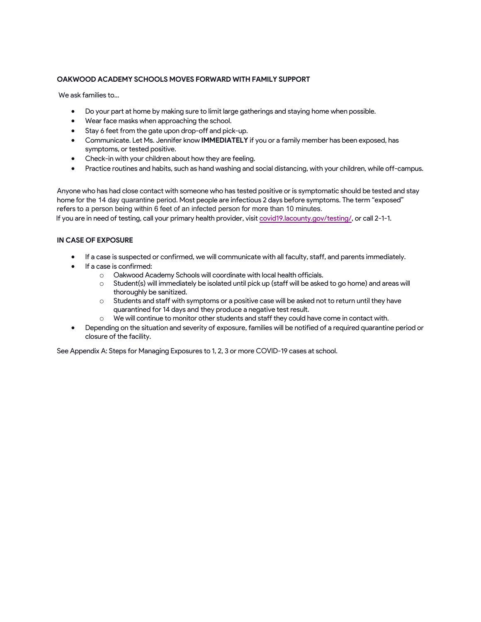#### **OAKWOOD ACADEMY SCHOOLS MOVES FORWARD WITH FAMILY SUPPORT**

We ask families to...

- Do your part at home by making sure to limit large gatherings and staying home when possible.
- Wear face masks when approaching the school.
- Stay 6 feet from the gate upon drop-off and pick-up.
- Communicate. Let Ms. Jennifer know **IMMEDIATELY** if you or a family member has been exposed, has symptoms, or tested positive.
- Check-in with your children about how they are feeling.
- Practice routines and habits, such as hand washing and social distancing, with your children, while off-campus.

Anyone who has had close contact with someone who has tested positive or is symptomatic should be tested and stay home for the 14 day quarantine period. Most people are infectious 2 days before symptoms. The term "exposed" refers to a person being within 6 feet of an infected person for more than 10 minutes.

If you are in need of testing, call your primary health provider, visit covid19.lacounty.gov/testing/, or call 2-1-1.

#### **IN CASE OF EXPOSURE**

- If a case is suspected or confirmed, we will communicate with all faculty, staff, and parents immediately.
- If a case is confirmed:
	- o Oakwood Academy Schools will coordinate with local health officials.
	- o Student(s) will immediately be isolated until pick up (staff will be asked to go home) and areas will thoroughly be sanitized.
	- $\circ$  Students and staff with symptoms or a positive case will be asked not to return until they have quarantined for 14 days and they produce a negative test result.
	- o We will continue to monitor other students and staff they could have come in contact with.
- Depending on the situation and severity of exposure, families will be notified of a required quarantine period or closure of the facility.

See Appendix A: Steps for Managing Exposures to 1, 2, 3 or more COVID-19 cases at school.